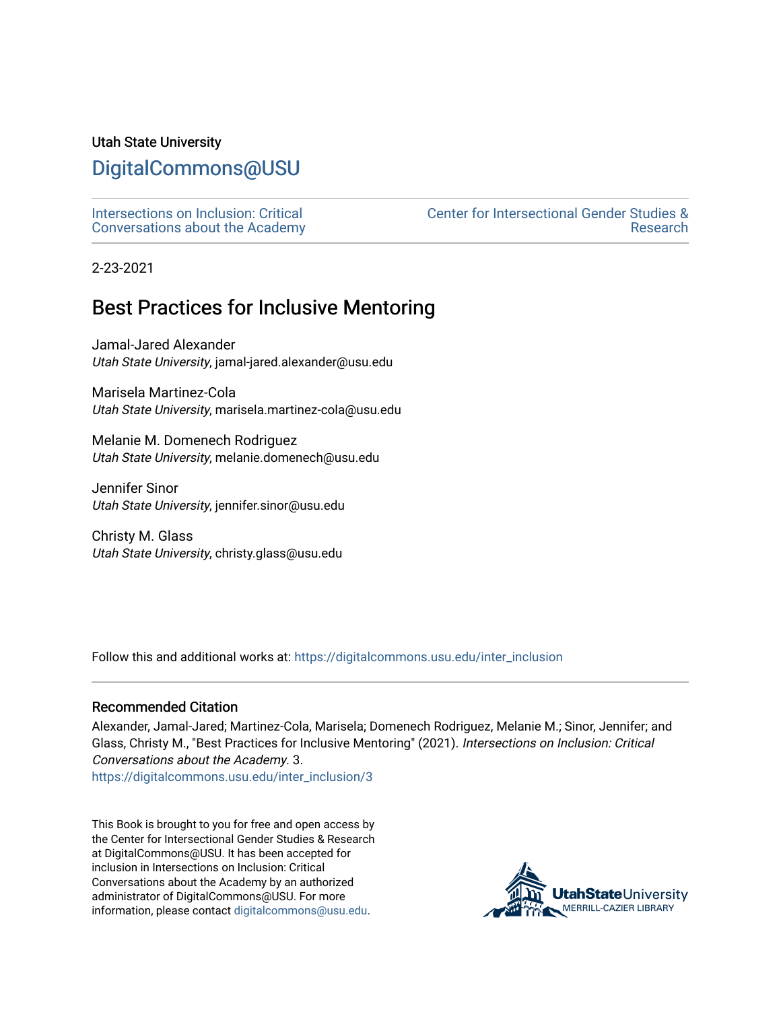#### Utah State University

## [DigitalCommons@USU](https://digitalcommons.usu.edu/)

[Intersections on Inclusion: Critical](https://digitalcommons.usu.edu/inter_inclusion) [Conversations about the Academy](https://digitalcommons.usu.edu/inter_inclusion)  [Center for Intersectional Gender Studies &](https://digitalcommons.usu.edu/intersections)  [Research](https://digitalcommons.usu.edu/intersections) 

2-23-2021

## Best Practices for Inclusive Mentoring

Jamal-Jared Alexander Utah State University, jamal-jared.alexander@usu.edu

Marisela Martinez-Cola Utah State University, marisela.martinez-cola@usu.edu

Melanie M. Domenech Rodriguez Utah State University, melanie.domenech@usu.edu

Jennifer Sinor Utah State University, jennifer.sinor@usu.edu

Christy M. Glass Utah State University, christy.glass@usu.edu

Follow this and additional works at: [https://digitalcommons.usu.edu/inter\\_inclusion](https://digitalcommons.usu.edu/inter_inclusion?utm_source=digitalcommons.usu.edu%2Finter_inclusion%2F3&utm_medium=PDF&utm_campaign=PDFCoverPages) 

#### Recommended Citation

Alexander, Jamal-Jared; Martinez-Cola, Marisela; Domenech Rodriguez, Melanie M.; Sinor, Jennifer; and Glass, Christy M., "Best Practices for Inclusive Mentoring" (2021). Intersections on Inclusion: Critical Conversations about the Academy. 3.

[https://digitalcommons.usu.edu/inter\\_inclusion/3](https://digitalcommons.usu.edu/inter_inclusion/3?utm_source=digitalcommons.usu.edu%2Finter_inclusion%2F3&utm_medium=PDF&utm_campaign=PDFCoverPages) 

This Book is brought to you for free and open access by the Center for Intersectional Gender Studies & Research at DigitalCommons@USU. It has been accepted for inclusion in Intersections on Inclusion: Critical Conversations about the Academy by an authorized administrator of DigitalCommons@USU. For more information, please contact [digitalcommons@usu.edu](mailto:digitalcommons@usu.edu).

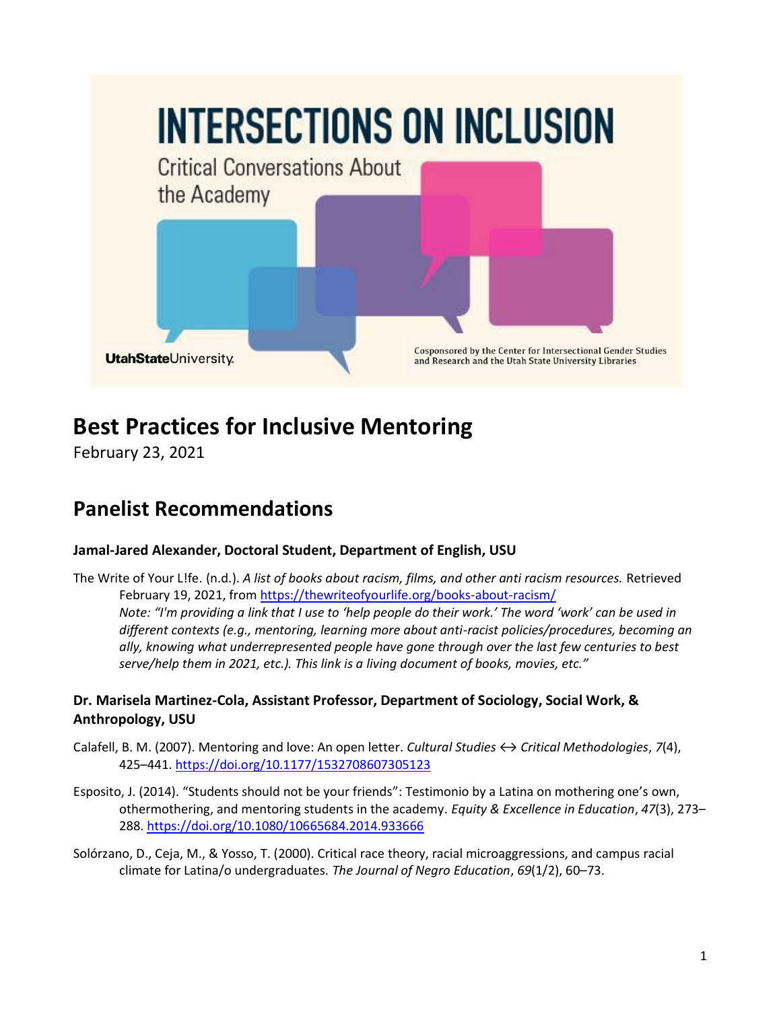

# **Best Practices for Inclusive Mentoring**

February 23, 2021

## **Panelist Recommendations**

### **Jamal-Jared Alexander, Doctoral Student, Department of English, USU**

The Write of Your L!fe. (n.d.). *A list of books about racism, films, and other anti racism resources.* Retrieved February 19, 2021, from<https://thewriteofyourlife.org/books-about-racism/> *Note: "I'm providing a link that I use to 'help people do their work.' The word 'work' can be used in different contexts (e.g., mentoring, learning more about anti-racist policies/procedures, becoming an ally, knowing what underrepresented people have gone through over the last few centuries to best serve/help them in 2021, etc.). This link is a living document of books, movies, etc."*

#### **Dr. Marisela Martinez-Cola, Assistant Professor, Department of Sociology, Social Work, & Anthropology, USU**

- Calafell, B. M. (2007). Mentoring and love: An open letter. *Cultural Studies ↔ Critical Methodologies*, *7*(4), 425–441.<https://doi.org/10.1177/1532708607305123>
- Esposito, J. (2014). "Students should not be your friends": Testimonio by a Latina on mothering one's own, othermothering, and mentoring students in the academy. *Equity & Excellence in Education*, *47*(3), 273– 288.<https://doi.org/10.1080/10665684.2014.933666>
- Solórzano, D., Ceja, M., & Yosso, T. (2000). Critical race theory, racial microaggressions, and campus racial climate for Latina/o undergraduates. *The Journal of Negro Education*, *69*(1/2), 60–73.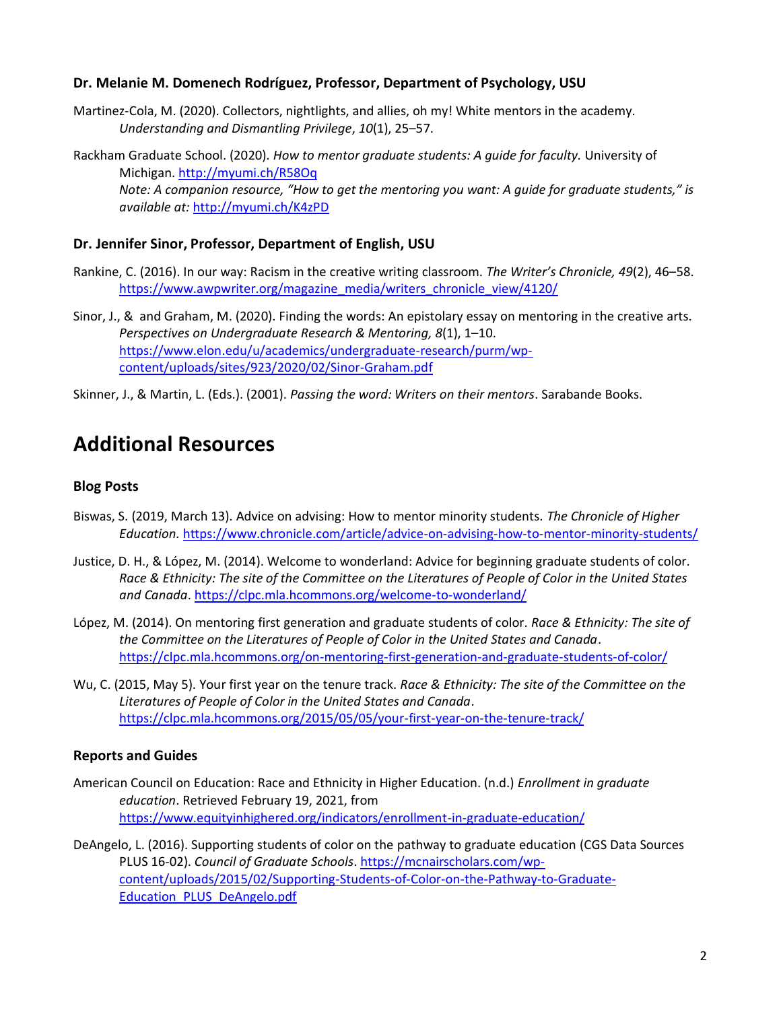#### **Dr. Melanie M. Domenech Rodríguez, Professor, Department of Psychology, USU**

Martinez-Cola, M. (2020). Collectors, nightlights, and allies, oh my! White mentors in the academy. *Understanding and Dismantling Privilege*, *10*(1), 25–57.

Rackham Graduate School. (2020). *How to mentor graduate students: A guide for faculty.* University of Michigan.<http://myumi.ch/R58Oq> *Note: A companion resource, "How to get the mentoring you want: A guide for graduate students," is available at:* <http://myumi.ch/K4zPD>

#### **Dr. Jennifer Sinor, Professor, Department of English, USU**

- Rankine, C. (2016). In our way: Racism in the creative writing classroom. *The Writer's Chronicle, 49*(2), 46–58. [https://www.awpwriter.org/magazine\\_media/writers\\_chronicle\\_view/4120/](https://www.awpwriter.org/magazine_media/writers_chronicle_view/4120/)
- Sinor, J., & and Graham, M. (2020). Finding the words: An epistolary essay on mentoring in the creative arts. *Perspectives on Undergraduate Research & Mentoring, 8*(1), 1–10. [https://www.elon.edu/u/academics/undergraduate-research/purm/wp](https://www.elon.edu/u/academics/undergraduate-research/purm/wp-content/uploads/sites/923/2020/02/Sinor-Graham.pdf)[content/uploads/sites/923/2020/02/Sinor-Graham.pdf](https://www.elon.edu/u/academics/undergraduate-research/purm/wp-content/uploads/sites/923/2020/02/Sinor-Graham.pdf)
- Skinner, J., & Martin, L. (Eds.). (2001). *Passing the word: Writers on their mentors*. Sarabande Books.

## **Additional Resources**

#### **Blog Posts**

- Biswas, S. (2019, March 13). Advice on advising: How to mentor minority students. *The Chronicle of Higher Education.* <https://www.chronicle.com/article/advice-on-advising-how-to-mentor-minority-students/>
- Justice, D. H., & López, M. (2014). Welcome to wonderland: Advice for beginning graduate students of color. *Race & Ethnicity: The site of the Committee on the Literatures of People of Color in the United States and Canada*[. https://clpc.mla.hcommons.org/welcome-to-wonderland/](https://clpc.mla.hcommons.org/welcome-to-wonderland/)
- López, M. (2014). On mentoring first generation and graduate students of color. *Race & Ethnicity: The site of the Committee on the Literatures of People of Color in the United States and Canada*. <https://clpc.mla.hcommons.org/on-mentoring-first-generation-and-graduate-students-of-color/>
- Wu, C. (2015, May 5). Your first year on the tenure track. *Race & Ethnicity: The site of the Committee on the Literatures of People of Color in the United States and Canada*. <https://clpc.mla.hcommons.org/2015/05/05/your-first-year-on-the-tenure-track/>

#### **Reports and Guides**

- American Council on Education: Race and Ethnicity in Higher Education. (n.d.) *Enrollment in graduate education*. Retrieved February 19, 2021, from <https://www.equityinhighered.org/indicators/enrollment-in-graduate-education/>
- DeAngelo, L. (2016). Supporting students of color on the pathway to graduate education (CGS Data Sources PLUS 16-02). *Council of Graduate Schools*[. https://mcnairscholars.com/wp](https://mcnairscholars.com/wp-content/uploads/2015/02/Supporting-Students-of-Color-on-the-Pathway-to-Graduate-Education_PLUS_DeAngelo.pdf)[content/uploads/2015/02/Supporting-Students-of-Color-on-the-Pathway-to-Graduate-](https://mcnairscholars.com/wp-content/uploads/2015/02/Supporting-Students-of-Color-on-the-Pathway-to-Graduate-Education_PLUS_DeAngelo.pdf)[Education\\_PLUS\\_DeAngelo.pdf](https://mcnairscholars.com/wp-content/uploads/2015/02/Supporting-Students-of-Color-on-the-Pathway-to-Graduate-Education_PLUS_DeAngelo.pdf)